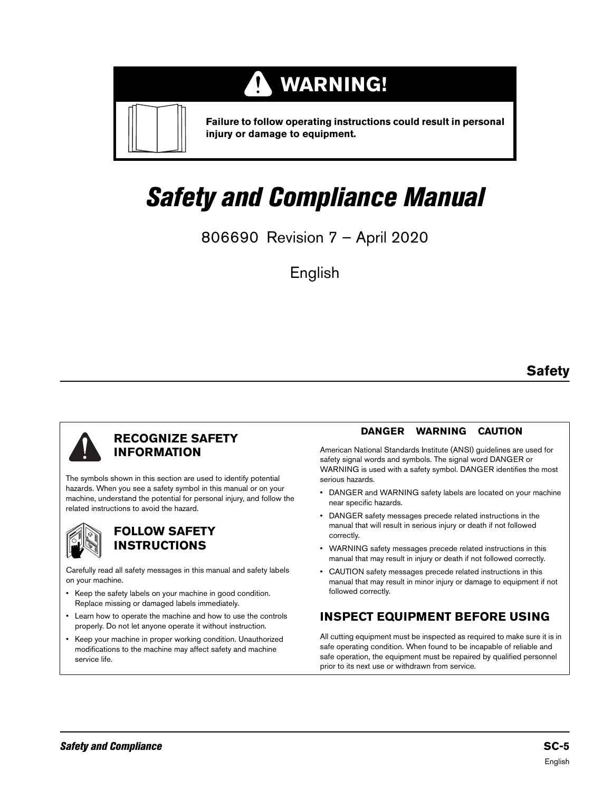#### **WARNING! TI**



**Failure to follow operating instructions could result in personal injury or damage to equipment.**

# Safety and Compliance Manual

806690 Revision 7 – April 2020

English

# **Safety**



#### **RECOGNIZE SAFETY INFORMATION**

The symbols shown in this section are used to identify potential hazards. When you see a safety symbol in this manual or on your machine, understand the potential for personal injury, and follow the related instructions to avoid the hazard.



### **FOLLOW SAFETY INSTRUCTIONS**

Carefully read all safety messages in this manual and safety labels on your machine.

- Keep the safety labels on your machine in good condition. Replace missing or damaged labels immediately.
- Learn how to operate the machine and how to use the controls properly. Do not let anyone operate it without instruction.
- Keep your machine in proper working condition. Unauthorized modifications to the machine may affect safety and machine service life.

#### **DANGER WARNING CAUTION**

American National Standards Institute (ANSI) guidelines are used for safety signal words and symbols. The signal word DANGER or WARNING is used with a safety symbol. DANGER identifies the most serious hazards.

- DANGER and WARNING safety labels are located on your machine near specific hazards.
- DANGER safety messages precede related instructions in the manual that will result in serious injury or death if not followed correctly.
- WARNING safety messages precede related instructions in this manual that may result in injury or death if not followed correctly.
- CAUTION safety messages precede related instructions in this manual that may result in minor injury or damage to equipment if not followed correctly.

# **INSPECT EQUIPMENT BEFORE USING**

All cutting equipment must be inspected as required to make sure it is in safe operating condition. When found to be incapable of reliable and safe operation, the equipment must be repaired by qualified personnel prior to its next use or withdrawn from service.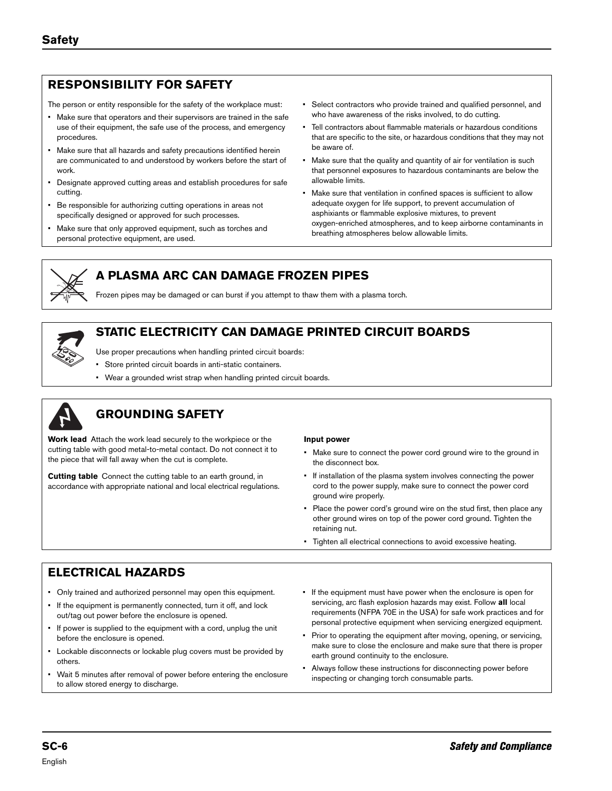# **RESPONSIBILITY FOR SAFETY**

The person or entity responsible for the safety of the workplace must:

- Make sure that operators and their supervisors are trained in the safe use of their equipment, the safe use of the process, and emergency procedures.
- Make sure that all hazards and safety precautions identified herein are communicated to and understood by workers before the start of work.
- Designate approved cutting areas and establish procedures for safe cutting.
- Be responsible for authorizing cutting operations in areas not specifically designed or approved for such processes.
- Make sure that only approved equipment, such as torches and personal protective equipment, are used.
- Select contractors who provide trained and qualified personnel, and who have awareness of the risks involved, to do cutting.
- Tell contractors about flammable materials or hazardous conditions that are specific to the site, or hazardous conditions that they may not be aware of.
- Make sure that the quality and quantity of air for ventilation is such that personnel exposures to hazardous contaminants are below the allowable limits.
- Make sure that ventilation in confined spaces is sufficient to allow adequate oxygen for life support, to prevent accumulation of asphixiants or flammable explosive mixtures, to prevent oxygen-enriched atmospheres, and to keep airborne contaminants in breathing atmospheres below allowable limits.



### **A PLASMA ARC CAN DAMAGE FROZEN PIPES**

Frozen pipes may be damaged or can burst if you attempt to thaw them with a plasma torch.

# **STATIC ELECTRICITY CAN DAMAGE PRINTED CIRCUIT BOARDS**



- Use proper precautions when handling printed circuit boards:
- Store printed circuit boards in anti-static containers.
- Wear a grounded wrist strap when handling printed circuit boards.



# **GROUNDING SAFETY**

**Work lead** Attach the work lead securely to the workpiece or the cutting table with good metal-to-metal contact. Do not connect it to the piece that will fall away when the cut is complete.

**Cutting table** Connect the cutting table to an earth ground, in accordance with appropriate national and local electrical regulations.

#### **Input power**

- Make sure to connect the power cord ground wire to the ground in the disconnect box.
- If installation of the plasma system involves connecting the power cord to the power supply, make sure to connect the power cord ground wire properly.
- Place the power cord's ground wire on the stud first, then place any other ground wires on top of the power cord ground. Tighten the retaining nut.
- Tighten all electrical connections to avoid excessive heating.

#### **ELECTRICAL HAZARDS**

- Only trained and authorized personnel may open this equipment.
- If the equipment is permanently connected, turn it off, and lock out/tag out power before the enclosure is opened.
- If power is supplied to the equipment with a cord, unplug the unit before the enclosure is opened.
- Lockable disconnects or lockable plug covers must be provided by others.
- Wait 5 minutes after removal of power before entering the enclosure to allow stored energy to discharge.
- If the equipment must have power when the enclosure is open for servicing, arc flash explosion hazards may exist. Follow **all** local requirements (NFPA 70E in the USA) for safe work practices and for personal protective equipment when servicing energized equipment.
- Prior to operating the equipment after moving, opening, or servicing, make sure to close the enclosure and make sure that there is proper earth ground continuity to the enclosure.
- Always follow these instructions for disconnecting power before inspecting or changing torch consumable parts.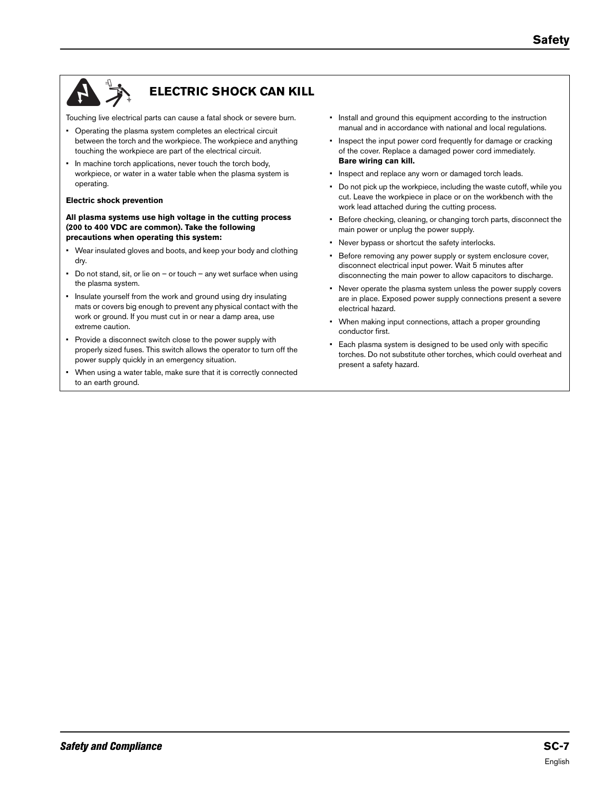

# **ELECTRIC SHOCK CAN KILL**

Touching live electrical parts can cause a fatal shock or severe burn.

- Operating the plasma system completes an electrical circuit between the torch and the workpiece. The workpiece and anything touching the workpiece are part of the electrical circuit.
- In machine torch applications, never touch the torch body, workpiece, or water in a water table when the plasma system is operating.

#### **Electric shock prevention**

**All plasma systems use high voltage in the cutting process (200 to 400 VDC are common). Take the following precautions when operating this system:**

- Wear insulated gloves and boots, and keep your body and clothing dry.
- Do not stand, sit, or lie on or touch any wet surface when using the plasma system.
- Insulate yourself from the work and ground using dry insulating mats or covers big enough to prevent any physical contact with the work or ground. If you must cut in or near a damp area, use extreme caution.
- Provide a disconnect switch close to the power supply with properly sized fuses. This switch allows the operator to turn off the power supply quickly in an emergency situation.
- When using a water table, make sure that it is correctly connected to an earth ground.
- Install and ground this equipment according to the instruction manual and in accordance with national and local regulations.
- Inspect the input power cord frequently for damage or cracking of the cover. Replace a damaged power cord immediately. **Bare wiring can kill.**
- Inspect and replace any worn or damaged torch leads.
- Do not pick up the workpiece, including the waste cutoff, while you cut. Leave the workpiece in place or on the workbench with the work lead attached during the cutting process.
- Before checking, cleaning, or changing torch parts, disconnect the main power or unplug the power supply.
- Never bypass or shortcut the safety interlocks.
- Before removing any power supply or system enclosure cover, disconnect electrical input power. Wait 5 minutes after disconnecting the main power to allow capacitors to discharge.
- Never operate the plasma system unless the power supply covers are in place. Exposed power supply connections present a severe electrical hazard.
- When making input connections, attach a proper grounding conductor first.
- Each plasma system is designed to be used only with specific torches. Do not substitute other torches, which could overheat and present a safety hazard.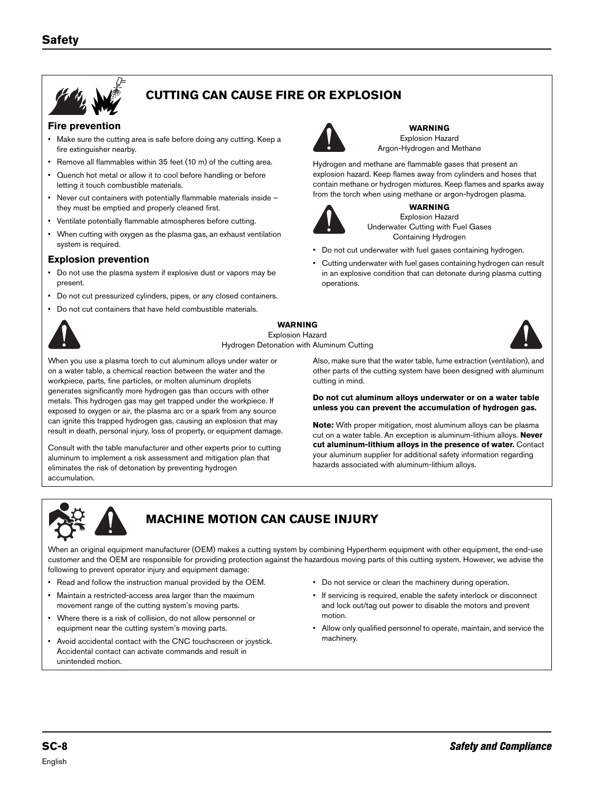

# **CUTTING CAN CAUSE FIRE OR EXPLOSION**

#### **Fire prevention**

- Make sure the cutting area is safe before doing any cutting. Keep a fire extinguisher nearby.
- Remove all flammables within 35 feet (10 m) of the cutting area.
- Quench hot metal or allow it to cool before handling or before letting it touch combustible materials.
- Never cut containers with potentially flammable materials inside they must be emptied and properly cleaned first.
- Ventilate potentially flammable atmospheres before cutting.
- When cutting with oxygen as the plasma gas, an exhaust ventilation system is required.

#### **Explosion prevention**

- Do not use the plasma system if explosive dust or vapors may be present.
- Do not cut pressurized cylinders, pipes, or any closed containers.
- Do not cut containers that have held combustible materials.



#### **WARNING**

operations.

Explosion Hazard Hydrogen Detonation with Aluminum Cutting



When you use a plasma torch to cut aluminum alloys under water or on a water table, a chemical reaction between the water and the workpiece, parts, fine particles, or molten aluminum droplets generates significantly more hydrogen gas than occurs with other metals. This hydrogen gas may get trapped under the workpiece. If exposed to oxygen or air, the plasma arc or a spark from any source can ignite this trapped hydrogen gas, causing an explosion that may result in death, personal injury, loss of property, or equipment damage.

Consult with the table manufacturer and other experts prior to cutting aluminum to implement a risk assessment and mitigation plan that eliminates the risk of detonation by preventing hydrogen accumulation.

Also, make sure that the water table, fume extraction (ventilation), and other parts of the cutting system have been designed with aluminum cutting in mind.

**WARNING** Explosion Hazard Argon-Hydrogen and Methane

Hydrogen and methane are flammable gases that present an explosion hazard. Keep flames away from cylinders and hoses that contain methane or hydrogen mixtures. Keep flames and sparks away from the torch when using methane or argon-hydrogen plasma. **WARNING** Explosion Hazard Underwater Cutting with Fuel Gases Containing Hydrogen • Do not cut underwater with fuel gases containing hydrogen. • Cutting underwater with fuel gases containing hydrogen can result in an explosive condition that can detonate during plasma cutting

#### **Do not cut aluminum alloys underwater or on a water table unless you can prevent the accumulation of hydrogen gas.**

**Note:** With proper mitigation, most aluminum alloys can be plasma cut on a water table. An exception is aluminum-lithium alloys. **Never cut aluminum-lithium alloys in the presence of water.** Contact your aluminum supplier for additional safety information regarding hazards associated with aluminum-lithium alloys.



# **MACHINE MOTION CAN CAUSE INJURY**

When an original equipment manufacturer (OEM) makes a cutting system by combining Hypertherm equipment with other equipment, the end-use customer and the OEM are responsible for providing protection against the hazardous moving parts of this cutting system. However, we advise the following to prevent operator injury and equipment damage:

- Read and follow the instruction manual provided by the OEM.
- Maintain a restricted-access area larger than the maximum movement range of the cutting system's moving parts.
- Where there is a risk of collision, do not allow personnel or equipment near the cutting system's moving parts.
- Avoid accidental contact with the CNC touchscreen or joystick. Accidental contact can activate commands and result in unintended motion.
- Do not service or clean the machinery during operation.
- If servicing is required, enable the safety interlock or disconnect and lock out/tag out power to disable the motors and prevent motion.
- Allow only qualified personnel to operate, maintain, and service the machinery.

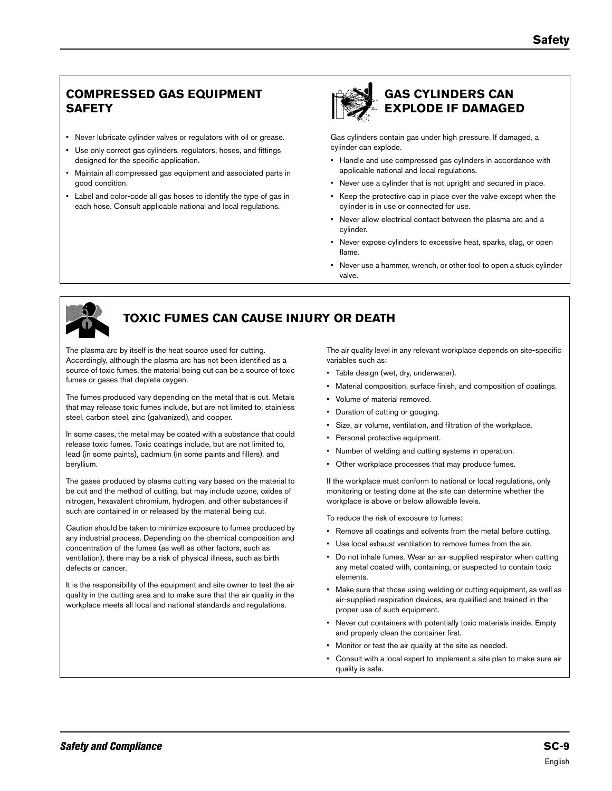# **COMPRESSED GAS EQUIPMENT SAFETY**

- Never lubricate cylinder valves or regulators with oil or grease.
- Use only correct gas cylinders, regulators, hoses, and fittings designed for the specific application.
- Maintain all compressed gas equipment and associated parts in good condition.
- Label and color-code all gas hoses to identify the type of gas in each hose. Consult applicable national and local regulations.



# **GAS CYLINDERS CAN EXPLODE IF DAMAGED**

Gas cylinders contain gas under high pressure. If damaged, a cylinder can explode.

- Handle and use compressed gas cylinders in accordance with applicable national and local regulations.
- Never use a cylinder that is not upright and secured in place.
- Keep the protective cap in place over the valve except when the cylinder is in use or connected for use.
- Never allow electrical contact between the plasma arc and a cylinder.
- Never expose cylinders to excessive heat, sparks, slag, or open flame.
- Never use a hammer, wrench, or other tool to open a stuck cylinder valve.



# **TOXIC FUMES CAN CAUSE INJURY OR DEATH**

The plasma arc by itself is the heat source used for cutting. Accordingly, although the plasma arc has not been identified as a source of toxic fumes, the material being cut can be a source of toxic fumes or gases that deplete oxygen.

The fumes produced vary depending on the metal that is cut. Metals that may release toxic fumes include, but are not limited to, stainless steel, carbon steel, zinc (galvanized), and copper.

In some cases, the metal may be coated with a substance that could release toxic fumes. Toxic coatings include, but are not limited to, lead (in some paints), cadmium (in some paints and fillers), and beryllium.

The gases produced by plasma cutting vary based on the material to be cut and the method of cutting, but may include ozone, oxides of nitrogen, hexavalent chromium, hydrogen, and other substances if such are contained in or released by the material being cut.

Caution should be taken to minimize exposure to fumes produced by any industrial process. Depending on the chemical composition and concentration of the fumes (as well as other factors, such as ventilation), there may be a risk of physical illness, such as birth defects or cancer.

It is the responsibility of the equipment and site owner to test the air quality in the cutting area and to make sure that the air quality in the workplace meets all local and national standards and regulations.

The air quality level in any relevant workplace depends on site-specific variables such as:

- Table design (wet, dry, underwater).
- Material composition, surface finish, and composition of coatings.
- Volume of material removed.
- Duration of cutting or gouging.
- Size, air volume, ventilation, and filtration of the workplace.
- Personal protective equipment.
- Number of welding and cutting systems in operation.
- Other workplace processes that may produce fumes.

If the workplace must conform to national or local regulations, only monitoring or testing done at the site can determine whether the workplace is above or below allowable levels.

To reduce the risk of exposure to fumes:

- Remove all coatings and solvents from the metal before cutting.
- Use local exhaust ventilation to remove fumes from the air.
- Do not inhale fumes. Wear an air-supplied respirator when cutting any metal coated with, containing, or suspected to contain toxic elements.
- Make sure that those using welding or cutting equipment, as well as air-supplied respiration devices, are qualified and trained in the proper use of such equipment.
- Never cut containers with potentially toxic materials inside. Empty and properly clean the container first.
- Monitor or test the air quality at the site as needed.
- Consult with a local expert to implement a site plan to make sure air quality is safe.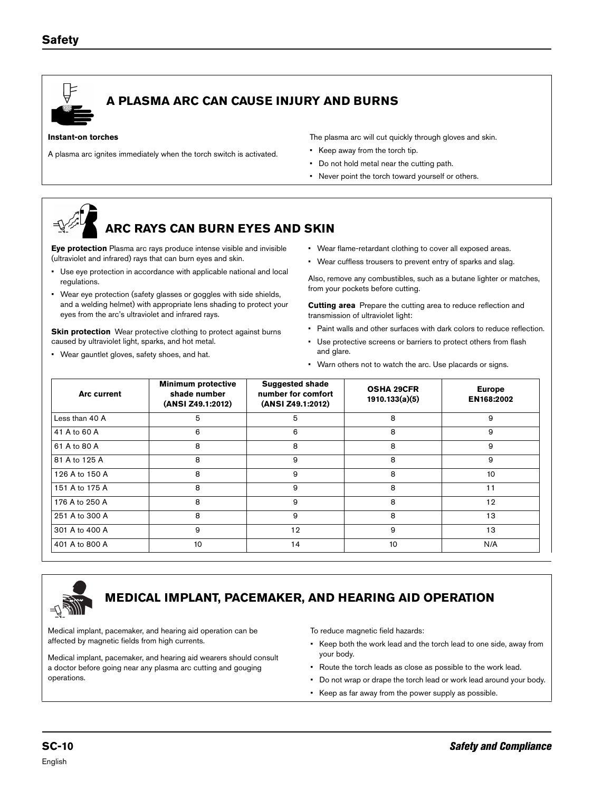

# **A PLASMA ARC CAN CAUSE INJURY AND BURNS**

#### **Instant-on torches**

A plasma arc ignites immediately when the torch switch is activated.

The plasma arc will cut quickly through gloves and skin.

- Keep away from the torch tip.
- Do not hold metal near the cutting path.
- Never point the torch toward yourself or others.

# **ARC RAYS CAN BURN EYES AND SKIN**

**Eye protection** Plasma arc rays produce intense visible and invisible (ultraviolet and infrared) rays that can burn eyes and skin.

- Use eye protection in accordance with applicable national and local regulations.
- Wear eye protection (safety glasses or goggles with side shields, and a welding helmet) with appropriate lens shading to protect your eyes from the arc's ultraviolet and infrared rays.

**Skin protection** Wear protective clothing to protect against burns caused by ultraviolet light, sparks, and hot metal.

• Wear gauntlet gloves, safety shoes, and hat.

- Wear flame-retardant clothing to cover all exposed areas.
- Wear cuffless trousers to prevent entry of sparks and slag.

Also, remove any combustibles, such as a butane lighter or matches, from your pockets before cutting.

**Cutting area** Prepare the cutting area to reduce reflection and transmission of ultraviolet light:

- Paint walls and other surfaces with dark colors to reduce reflection.
- Use protective screens or barriers to protect others from flash and glare.
- Warn others not to watch the arc. Use placards or signs.

| <b>Arc current</b> | <b>Minimum protective</b><br>shade number<br>(ANSI Z49.1:2012) | <b>Suggested shade</b><br>number for comfort<br>(ANSI Z49.1:2012) | <b>OSHA 29CFR</b><br>1910.133(a)(5) | <b>Europe</b><br>EN168:2002 |
|--------------------|----------------------------------------------------------------|-------------------------------------------------------------------|-------------------------------------|-----------------------------|
| Less than 40 A     | 5                                                              | 5                                                                 | 8                                   | 9                           |
| 41 A to 60 A       | 6                                                              | 6                                                                 | 8                                   | 9                           |
| 61 A to 80 A       | 8                                                              | 8                                                                 | 8                                   | 9                           |
| 81 A to 125 A      | 8                                                              | 9                                                                 | 8                                   | 9                           |
| 126 A to 150 A     | 8                                                              | 9                                                                 | 8                                   | 10                          |
| 151 A to 175 A     | 8                                                              | 9                                                                 | 8                                   | 11                          |
| 176 A to 250 A     | 8                                                              | 9                                                                 | 8                                   | 12                          |
| 251 A to 300 A     | 8                                                              | 9                                                                 | 8                                   | 13                          |
| 301 A to 400 A     | 9                                                              | 12                                                                | 9                                   | 13                          |
| 401 A to 800 A     | 10                                                             | 14                                                                | 10                                  | N/A                         |



# **MEDICAL IMPLANT, PACEMAKER, AND HEARING AID OPERATION**

Medical implant, pacemaker, and hearing aid operation can be affected by magnetic fields from high currents.

Medical implant, pacemaker, and hearing aid wearers should consult a doctor before going near any plasma arc cutting and gouging operations.

To reduce magnetic field hazards:

- Keep both the work lead and the torch lead to one side, away from your body.
- Route the torch leads as close as possible to the work lead.
- Do not wrap or drape the torch lead or work lead around your body.
- Keep as far away from the power supply as possible.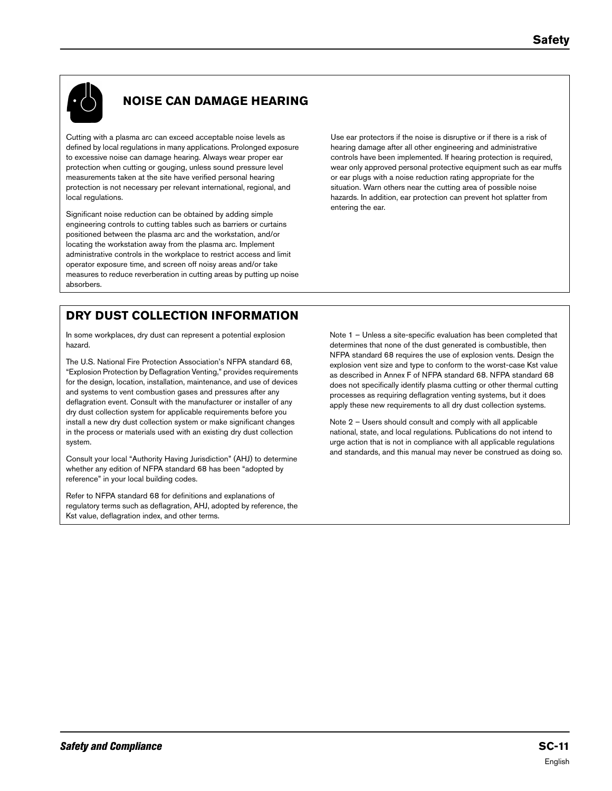

# **NOISE CAN DAMAGE HEARING**

Cutting with a plasma arc can exceed acceptable noise levels as defined by local regulations in many applications. Prolonged exposure to excessive noise can damage hearing. Always wear proper ear protection when cutting or gouging, unless sound pressure level measurements taken at the site have verified personal hearing protection is not necessary per relevant international, regional, and local regulations.

Significant noise reduction can be obtained by adding simple engineering controls to cutting tables such as barriers or curtains positioned between the plasma arc and the workstation, and/or locating the workstation away from the plasma arc. Implement administrative controls in the workplace to restrict access and limit operator exposure time, and screen off noisy areas and/or take measures to reduce reverberation in cutting areas by putting up noise absorbers.

Use ear protectors if the noise is disruptive or if there is a risk of hearing damage after all other engineering and administrative controls have been implemented. If hearing protection is required, wear only approved personal protective equipment such as ear muffs or ear plugs with a noise reduction rating appropriate for the situation. Warn others near the cutting area of possible noise hazards. In addition, ear protection can prevent hot splatter from entering the ear.

# **DRY DUST COLLECTION INFORMATION**

In some workplaces, dry dust can represent a potential explosion hazard.

The U.S. National Fire Protection Association's NFPA standard 68, "Explosion Protection by Deflagration Venting," provides requirements for the design, location, installation, maintenance, and use of devices and systems to vent combustion gases and pressures after any deflagration event. Consult with the manufacturer or installer of any dry dust collection system for applicable requirements before you install a new dry dust collection system or make significant changes in the process or materials used with an existing dry dust collection system.

Consult your local "Authority Having Jurisdiction" (AHJ) to determine whether any edition of NFPA standard 68 has been "adopted by reference" in your local building codes.

Refer to NFPA standard 68 for definitions and explanations of regulatory terms such as deflagration, AHJ, adopted by reference, the Kst value, deflagration index, and other terms.

Note 1 – Unless a site-specific evaluation has been completed that determines that none of the dust generated is combustible, then NFPA standard 68 requires the use of explosion vents. Design the explosion vent size and type to conform to the worst-case Kst value as described in Annex F of NFPA standard 68. NFPA standard 68 does not specifically identify plasma cutting or other thermal cutting processes as requiring deflagration venting systems, but it does apply these new requirements to all dry dust collection systems.

Note 2 – Users should consult and comply with all applicable national, state, and local regulations. Publications do not intend to urge action that is not in compliance with all applicable regulations and standards, and this manual may never be construed as doing so.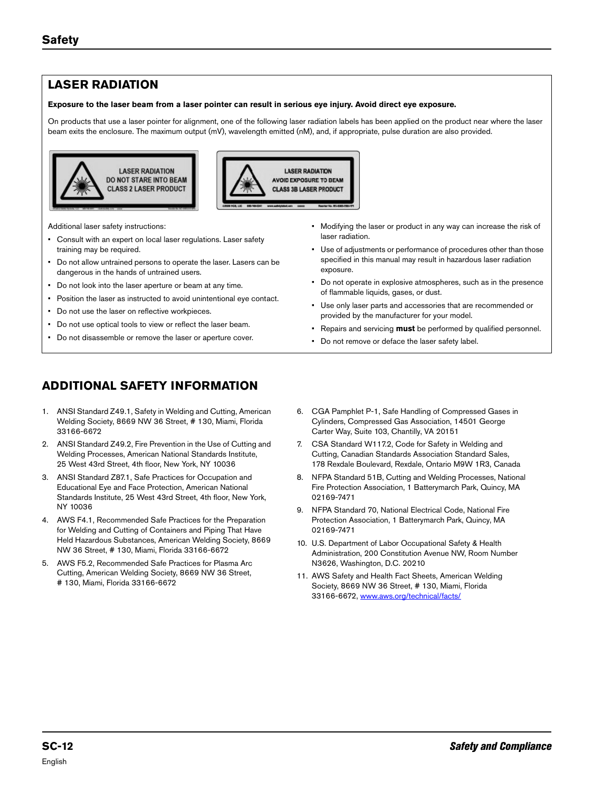# **LASER RADIATION**

#### **Exposure to the laser beam from a laser pointer can result in serious eye injury. Avoid direct eye exposure.**

On products that use a laser pointer for alignment, one of the following laser radiation labels has been applied on the product near where the laser beam exits the enclosure. The maximum output (mV), wavelength emitted (nM), and, if appropriate, pulse duration are also provided.





Additional laser safety instructions:

- Consult with an expert on local laser regulations. Laser safety training may be required.
- Do not allow untrained persons to operate the laser. Lasers can be dangerous in the hands of untrained users.
- Do not look into the laser aperture or beam at any time.
- Position the laser as instructed to avoid unintentional eye contact.
- Do not use the laser on reflective workpieces.
- Do not use optical tools to view or reflect the laser beam.
- Do not disassemble or remove the laser or aperture cover.
- **ADDITIONAL SAFETY INFORMATION**
- 1. ANSI Standard Z49.1, Safety in Welding and Cutting, American Welding Society, 8669 NW 36 Street, # 130, Miami, Florida 33166-6672
- 2. ANSI Standard Z49.2, Fire Prevention in the Use of Cutting and Welding Processes, American National Standards Institute, 25 West 43rd Street, 4th floor, New York, NY 10036
- 3. ANSI Standard Z87.1, Safe Practices for Occupation and Educational Eye and Face Protection, American National Standards Institute, 25 West 43rd Street, 4th floor, New York, NY 10036
- 4. AWS F4.1, Recommended Safe Practices for the Preparation for Welding and Cutting of Containers and Piping That Have Held Hazardous Substances, American Welding Society, 8669 NW 36 Street, # 130, Miami, Florida 33166-6672
- 5. AWS F5.2, Recommended Safe Practices for Plasma Arc Cutting, American Welding Society, 8669 NW 36 Street, # 130, Miami, Florida 33166-6672
- Modifying the laser or product in any way can increase the risk of laser radiation.
- Use of adjustments or performance of procedures other than those specified in this manual may result in hazardous laser radiation exposure.
- Do not operate in explosive atmospheres, such as in the presence of flammable liquids, gases, or dust.
- Use only laser parts and accessories that are recommended or provided by the manufacturer for your model.
- Repairs and servicing **must** be performed by qualified personnel.
- Do not remove or deface the laser safety label.
- 6. CGA Pamphlet P-1, Safe Handling of Compressed Gases in Cylinders, Compressed Gas Association, 14501 George Carter Way, Suite 103, Chantilly, VA 20151
- 7. CSA Standard W117.2, Code for Safety in Welding and Cutting, Canadian Standards Association Standard Sales, 178 Rexdale Boulevard, Rexdale, Ontario M9W 1R3, Canada
- 8. NFPA Standard 51B, Cutting and Welding Processes, National Fire Protection Association, 1 Batterymarch Park, Quincy, MA 02169-7471
- 9. NFPA Standard 70, National Electrical Code, National Fire Protection Association, 1 Batterymarch Park, Quincy, MA 02169-7471
- 10. U.S. Department of Labor Occupational Safety & Health Administration, 200 Constitution Avenue NW, Room Number N3626, Washington, D.C. 20210
- 11. AWS Safety and Health Fact Sheets, American Welding Society, 8669 NW 36 Street, # 130, Miami, Florida 33166-6672, [www.aws.org/technical/facts/](http://www.aws.org/technical/facts/)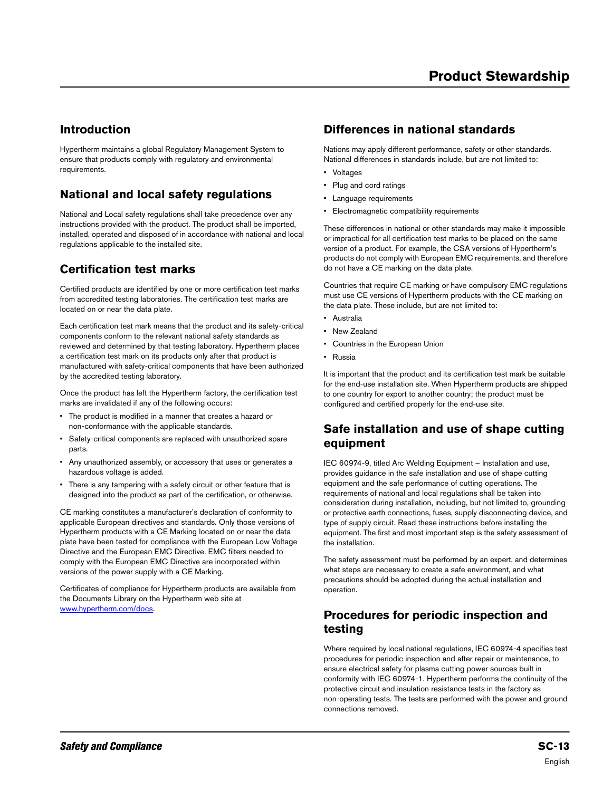### **Introduction**

Hypertherm maintains a global Regulatory Management System to ensure that products comply with regulatory and environmental requirements.

# **National and local safety regulations**

National and Local safety regulations shall take precedence over any instructions provided with the product. The product shall be imported, installed, operated and disposed of in accordance with national and local regulations applicable to the installed site.

# **Certification test marks**

Certified products are identified by one or more certification test marks from accredited testing laboratories. The certification test marks are located on or near the data plate.

Each certification test mark means that the product and its safety-critical components conform to the relevant national safety standards as reviewed and determined by that testing laboratory. Hypertherm places a certification test mark on its products only after that product is manufactured with safety-critical components that have been authorized by the accredited testing laboratory.

Once the product has left the Hypertherm factory, the certification test marks are invalidated if any of the following occurs:

- The product is modified in a manner that creates a hazard or non-conformance with the applicable standards.
- Safety-critical components are replaced with unauthorized spare parts.
- Any unauthorized assembly, or accessory that uses or generates a hazardous voltage is added.
- There is any tampering with a safety circuit or other feature that is designed into the product as part of the certification, or otherwise.

CE marking constitutes a manufacturer's declaration of conformity to applicable European directives and standards. Only those versions of Hypertherm products with a CE Marking located on or near the data plate have been tested for compliance with the European Low Voltage Directive and the European EMC Directive. EMC filters needed to comply with the European EMC Directive are incorporated within versions of the power supply with a CE Marking.

Certificates of compliance for Hypertherm products are available from the Documents Library on the Hypertherm web site at [www.hypertherm.com/docs](http://www.hypertherm.com/docs).

### **Differences in national standards**

Nations may apply different performance, safety or other standards. National differences in standards include, but are not limited to:

- Voltages
- Plug and cord ratings
- Language requirements
- Electromagnetic compatibility requirements

These differences in national or other standards may make it impossible or impractical for all certification test marks to be placed on the same version of a product. For example, the CSA versions of Hypertherm's products do not comply with European EMC requirements, and therefore do not have a CE marking on the data plate.

Countries that require CE marking or have compulsory EMC regulations must use CE versions of Hypertherm products with the CE marking on the data plate. These include, but are not limited to:

- Australia
- New Zealand
- Countries in the European Union
- Russia

It is important that the product and its certification test mark be suitable for the end-use installation site. When Hypertherm products are shipped to one country for export to another country; the product must be configured and certified properly for the end-use site.

#### **Safe installation and use of shape cutting equipment**

IEC 60974-9, titled Arc Welding Equipment – Installation and use, provides guidance in the safe installation and use of shape cutting equipment and the safe performance of cutting operations. The requirements of national and local regulations shall be taken into consideration during installation, including, but not limited to, grounding or protective earth connections, fuses, supply disconnecting device, and type of supply circuit. Read these instructions before installing the equipment. The first and most important step is the safety assessment of the installation.

The safety assessment must be performed by an expert, and determines what steps are necessary to create a safe environment, and what precautions should be adopted during the actual installation and operation.

### **Procedures for periodic inspection and testing**

Where required by local national regulations, IEC 60974-4 specifies test procedures for periodic inspection and after repair or maintenance, to ensure electrical safety for plasma cutting power sources built in conformity with IEC 60974-1. Hypertherm performs the continuity of the protective circuit and insulation resistance tests in the factory as non-operating tests. The tests are performed with the power and ground connections removed.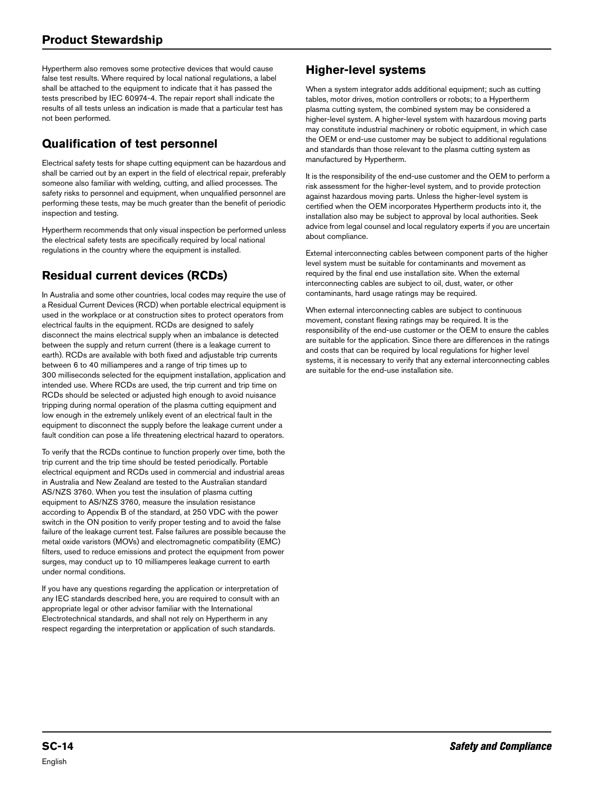Hypertherm also removes some protective devices that would cause false test results. Where required by local national regulations, a label shall be attached to the equipment to indicate that it has passed the tests prescribed by IEC 60974-4. The repair report shall indicate the results of all tests unless an indication is made that a particular test has not been performed.

# **Qualification of test personnel**

Electrical safety tests for shape cutting equipment can be hazardous and shall be carried out by an expert in the field of electrical repair, preferably someone also familiar with welding, cutting, and allied processes. The safety risks to personnel and equipment, when unqualified personnel are performing these tests, may be much greater than the benefit of periodic inspection and testing.

Hypertherm recommends that only visual inspection be performed unless the electrical safety tests are specifically required by local national regulations in the country where the equipment is installed.

# **Residual current devices (RCDs)**

In Australia and some other countries, local codes may require the use of a Residual Current Devices (RCD) when portable electrical equipment is used in the workplace or at construction sites to protect operators from electrical faults in the equipment. RCDs are designed to safely disconnect the mains electrical supply when an imbalance is detected between the supply and return current (there is a leakage current to earth). RCDs are available with both fixed and adjustable trip currents between 6 to 40 milliamperes and a range of trip times up to 300 milliseconds selected for the equipment installation, application and intended use. Where RCDs are used, the trip current and trip time on RCDs should be selected or adjusted high enough to avoid nuisance tripping during normal operation of the plasma cutting equipment and low enough in the extremely unlikely event of an electrical fault in the equipment to disconnect the supply before the leakage current under a fault condition can pose a life threatening electrical hazard to operators.

To verify that the RCDs continue to function properly over time, both the trip current and the trip time should be tested periodically. Portable electrical equipment and RCDs used in commercial and industrial areas in Australia and New Zealand are tested to the Australian standard AS/NZS 3760. When you test the insulation of plasma cutting equipment to AS/NZS 3760, measure the insulation resistance according to Appendix B of the standard, at 250 VDC with the power switch in the ON position to verify proper testing and to avoid the false failure of the leakage current test. False failures are possible because the metal oxide varistors (MOVs) and electromagnetic compatibility (EMC) filters, used to reduce emissions and protect the equipment from power surges, may conduct up to 10 milliamperes leakage current to earth under normal conditions.

If you have any questions regarding the application or interpretation of any IEC standards described here, you are required to consult with an appropriate legal or other advisor familiar with the International Electrotechnical standards, and shall not rely on Hypertherm in any respect regarding the interpretation or application of such standards.

# **Higher-level systems**

When a system integrator adds additional equipment; such as cutting tables, motor drives, motion controllers or robots; to a Hypertherm plasma cutting system, the combined system may be considered a higher-level system. A higher-level system with hazardous moving parts may constitute industrial machinery or robotic equipment, in which case the OEM or end-use customer may be subject to additional regulations and standards than those relevant to the plasma cutting system as manufactured by Hypertherm.

It is the responsibility of the end-use customer and the OEM to perform a risk assessment for the higher-level system, and to provide protection against hazardous moving parts. Unless the higher-level system is certified when the OEM incorporates Hypertherm products into it, the installation also may be subject to approval by local authorities. Seek advice from legal counsel and local regulatory experts if you are uncertain about compliance.

External interconnecting cables between component parts of the higher level system must be suitable for contaminants and movement as required by the final end use installation site. When the external interconnecting cables are subject to oil, dust, water, or other contaminants, hard usage ratings may be required.

When external interconnecting cables are subject to continuous movement, constant flexing ratings may be required. It is the responsibility of the end-use customer or the OEM to ensure the cables are suitable for the application. Since there are differences in the ratings and costs that can be required by local regulations for higher level systems, it is necessary to verify that any external interconnecting cables are suitable for the end-use installation site.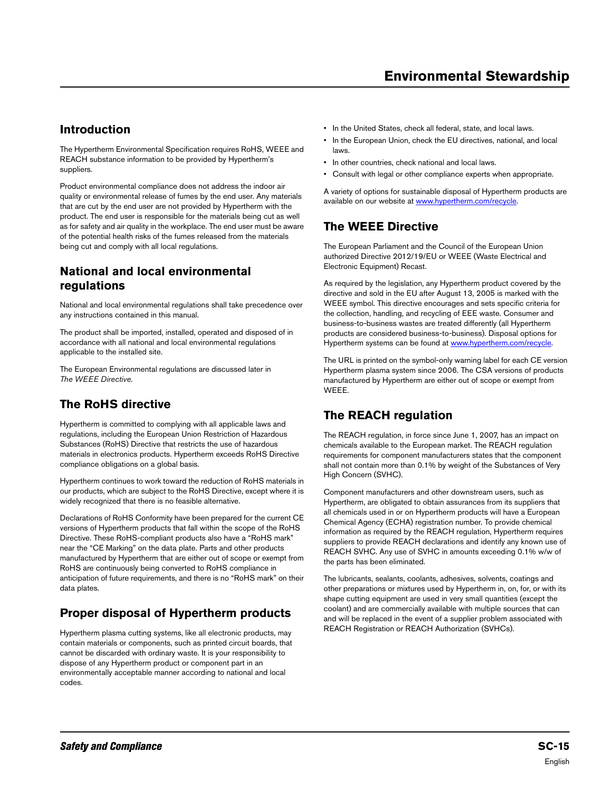### **Introduction**

The Hypertherm Environmental Specification requires RoHS, WEEE and REACH substance information to be provided by Hypertherm's suppliers.

Product environmental compliance does not address the indoor air quality or environmental release of fumes by the end user. Any materials that are cut by the end user are not provided by Hypertherm with the product. The end user is responsible for the materials being cut as well as for safety and air quality in the workplace. The end user must be aware of the potential health risks of the fumes released from the materials being cut and comply with all local regulations.

### **National and local environmental regulations**

National and local environmental regulations shall take precedence over any instructions contained in this manual.

The product shall be imported, installed, operated and disposed of in accordance with all national and local environmental regulations applicable to the installed site.

The European Environmental regulations are discussed later in [The WEEE Directive](#page-10-0).

# **The RoHS directive**

Hypertherm is committed to complying with all applicable laws and regulations, including the European Union Restriction of Hazardous Substances (RoHS) Directive that restricts the use of hazardous materials in electronics products. Hypertherm exceeds RoHS Directive compliance obligations on a global basis.

Hypertherm continues to work toward the reduction of RoHS materials in our products, which are subject to the RoHS Directive, except where it is widely recognized that there is no feasible alternative.

Declarations of RoHS Conformity have been prepared for the current CE versions of Hypertherm products that fall within the scope of the RoHS Directive. These RoHS-compliant products also have a "RoHS mark" near the "CE Marking" on the data plate. Parts and other products manufactured by Hypertherm that are either out of scope or exempt from RoHS are continuously being converted to RoHS compliance in anticipation of future requirements, and there is no "RoHS mark" on their data plates.

# **Proper disposal of Hypertherm products**

Hypertherm plasma cutting systems, like all electronic products, may contain materials or components, such as printed circuit boards, that cannot be discarded with ordinary waste. It is your responsibility to dispose of any Hypertherm product or component part in an environmentally acceptable manner according to national and local codes.

- In the United States, check all federal, state, and local laws.
- In the European Union, check the EU directives, national, and local laws.
- In other countries, check national and local laws.
- Consult with legal or other compliance experts when appropriate.

A variety of options for sustainable disposal of Hypertherm products are available on our website at [www.hypertherm.com/recycle.](http://www.hypertherm.com/recycle)

# <span id="page-10-0"></span>**The WEEE Directive**

The European Parliament and the Council of the European Union authorized Directive 2012/19/EU or WEEE (Waste Electrical and Electronic Equipment) Recast.

As required by the legislation, any Hypertherm product covered by the directive and sold in the EU after August 13, 2005 is marked with the WEEE symbol. This directive encourages and sets specific criteria for the collection, handling, and recycling of EEE waste. Consumer and business-to-business wastes are treated differently (all Hypertherm products are considered business-to-business). Disposal options for Hypertherm systems can be found at [www.hypertherm.com/recycle.](http://www.hypertherm.com/recycle)

The URL is printed on the symbol-only warning label for each CE version Hypertherm plasma system since 2006. The CSA versions of products manufactured by Hypertherm are either out of scope or exempt from **WEEE** 

# **The REACH regulation**

The REACH regulation, in force since June 1, 2007, has an impact on chemicals available to the European market. The REACH regulation requirements for component manufacturers states that the component shall not contain more than 0.1% by weight of the Substances of Very High Concern (SVHC).

Component manufacturers and other downstream users, such as Hypertherm, are obligated to obtain assurances from its suppliers that all chemicals used in or on Hypertherm products will have a European Chemical Agency (ECHA) registration number. To provide chemical information as required by the REACH regulation, Hypertherm requires suppliers to provide REACH declarations and identify any known use of REACH SVHC. Any use of SVHC in amounts exceeding 0.1% w/w of the parts has been eliminated.

The lubricants, sealants, coolants, adhesives, solvents, coatings and other preparations or mixtures used by Hypertherm in, on, for, or with its shape cutting equipment are used in very small quantities (except the coolant) and are commercially available with multiple sources that can and will be replaced in the event of a supplier problem associated with REACH Registration or REACH Authorization (SVHCs).